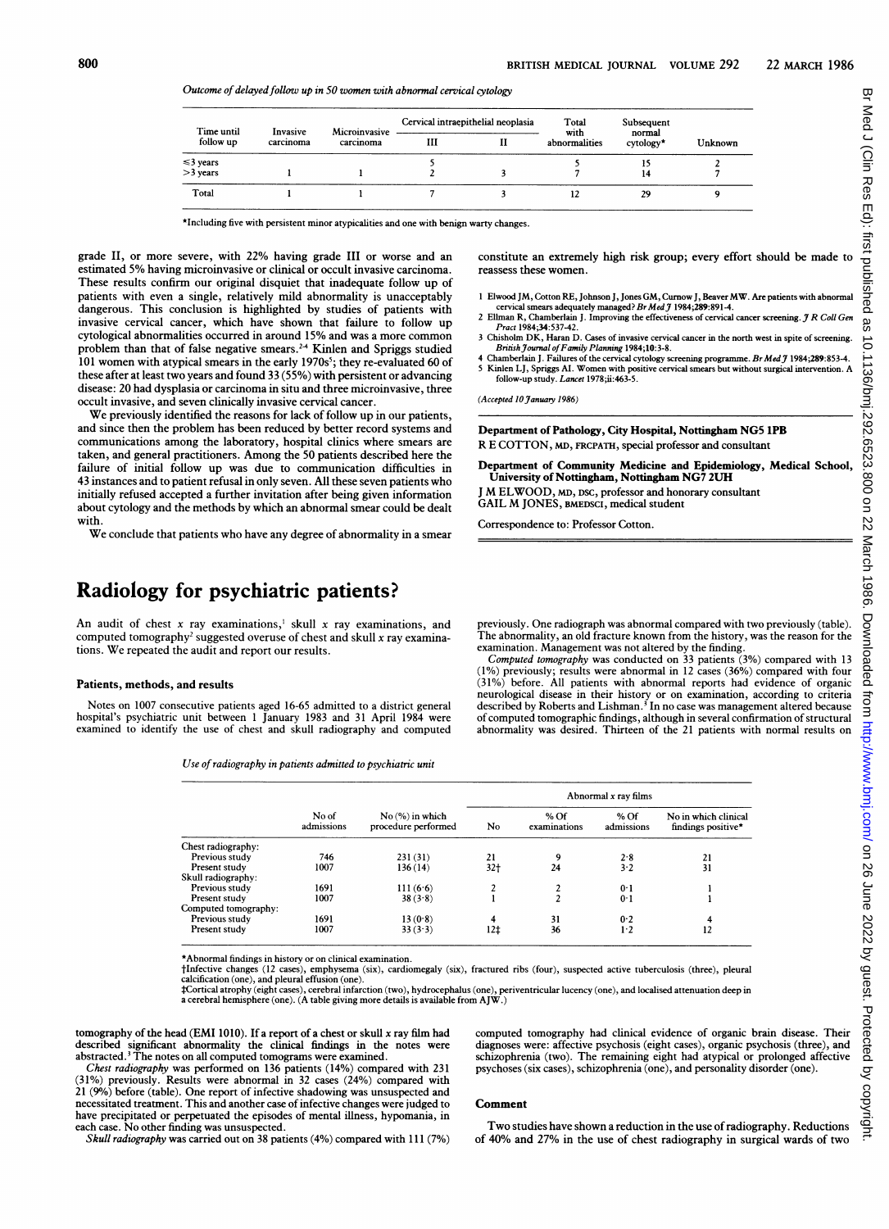constitute an extremely high risk group; every effort should be made to

<sup>1</sup> Elwood JM, Cotton RE, Johnson J, Jones GM, Curnow J, Beaver MW. Are patients with abnormal cervical smears adequately managed? Br Med J 1984;289:891-4.<br>2 Ellman R, Chamberlain J. Improving the effectiveness of cervical cancer screening. J R Coll Gen

<sup>3</sup> Chisholm DK, Haran D. Cases of invasive cervical cancer in the north west in spite of screening. Brinsh Journal of Family Planning 1984;10:3-8.<br>4 Chamberlain J. Failures of the cervical cytology screening programme. Br Med J 1984;289:853-4. Kinlen LJ, Spriggs AI. Women with positive cervical smears but without surgical intervention. A

Department of Community Medicine and Epidemiology, Medical School,

Department of Pathology, City Hospital, Nottingham NG5 1PB R E COTTON, MD, FRCPATH, special professor and consultant

University of Nottiham, Nottngham NG7 2UH M ELWOOD, MD, DSC, professor and honorary consultant

GAIL M JONES, BMEDSCI, medical student Correspondence to: Professor Cotton.

Outcome of delayed follow up in 50 women with abnormal cervical cytology

| Time until<br>follow up | Invasive<br>carcinoma | Microinvasive<br>carcinoma | Cervical intraepithelial neoplasia |  | Total                 | Subsequent          |         |
|-------------------------|-----------------------|----------------------------|------------------------------------|--|-----------------------|---------------------|---------|
|                         |                       |                            | ш                                  |  | with<br>abnormalities | normal<br>cytology* | Unknown |
| $\leq$ 3 years          |                       |                            |                                    |  |                       |                     |         |
| $>3$ years              |                       |                            |                                    |  |                       | 14                  |         |
| Total                   |                       |                            |                                    |  |                       | 29                  |         |

reassess these women.

Pract 1984;34:53742.

(Accepted 10 January 1986)

follow-up study. Lancet 1978;ii:463-5.

\*Including five with persistent minor atypicalities and one with benign warty changes.

grade II, or more severe, with 22% having grade III or worse and an estimated 5% having microinvasive or clinical or occult invasive carcinoma. These results confirm our original disquiet that inadequate follow up of patients with even a single, relatively mild abnormality is unacceptably dangerous. This conclusion is highlighted by studies of patients with invasive cervical cancer, which have shown that failure to follow up cytological abnormalities occurred in around 15% and was a more common problem than that of false negative smears.<sup>24</sup> Kinlen and Spriggs studied  $101$  women with atypical smears in the early 1970s<sup>5</sup>; they re-evaluated 60 of these after at least two years and found 33 (55%) with persistent or advancing disease: 20 had dysplasia or carcinoma in situ and three microinvasive, three occult invasive, and seven clinically invasive cervical cancer.

We previously identified the reasons for lack of follow up in our patients, and since then the problem has been reduced by better record systems and communications among the laboratory, hospital clinics where smears are taken, and general practitioners. Among the 50 patients described here the failure of initial follow up was due to communication difficulties in 43 instances and to patient refusal in only seven. All these seven patients who initially refused accepted a further invitation after being given information about cytology and the methods by which an abnormal smear could be dealt with.

We conclude that patients who have any degree of abnormality in <sup>a</sup> smear

# Radiology for psychiatric patients?

An audit of chest x ray examinations,<sup>1</sup> skull x ray examinations, and computed tomography<sup>2</sup> suggested overuse of chest and skull  $x$  ray examinations. We repeated the audit and report our results.

#### Patients, methods, and results

 $Chf$ 

Notes on 1007 consecutive patients aged 16-65 admitted to a district general hospital's psychiatric unit between <sup>1</sup> January 1983 and 31 April 1984 were examined to identify the use of chest and skull radiography and computed

Use of radiography in patients admitted to psychiatric unit

previously. One radiograph was abnormal compared with two previously (table). The abnormality, an old fracture known from the history, was the reason for the examination. Management was not altered by the finding.

Computed tomography was conducted on 33 patients (3%) compared with 13 (1%) previously; results were abnormal in 12 cases (36%) compared with four (31%) before. All patients with abnormal reports had evidence of organic<br>neurological disease in their history or on examination, according to criteria<br>described by Roberts and Lishman.<sup>3</sup> In no case was management altered of computed tomographic findings, although in several confirmation of structural abnormality was desired. Thirteen of the 21 patients with normal results on

|                      | No of<br>admissions | $No(%)$ in which<br>procedure performed | Abnormal x ray films |                        |                      |                                            |  |
|----------------------|---------------------|-----------------------------------------|----------------------|------------------------|----------------------|--------------------------------------------|--|
|                      |                     |                                         |                      |                        |                      |                                            |  |
|                      |                     |                                         | No                   | $%$ Of<br>examinations | $%$ Of<br>admissions | No in which clinical<br>findings positive* |  |
| Chest radiography:   |                     |                                         |                      |                        |                      |                                            |  |
| Previous study       | 746                 | 231(31)                                 | 21                   | ۹                      | 2.8                  | 21                                         |  |
| Present study        | 1007                | 136 (14)                                | 32†                  | 24                     | 3.2                  | 31                                         |  |
| Skull radiography:   |                     |                                         |                      |                        |                      |                                            |  |
| Previous study       | 1691                | 111(6.6)                                |                      |                        | 0 <sup>1</sup>       |                                            |  |
| Present study        | 1007                | 38(3.8)                                 |                      |                        | 0.1                  |                                            |  |
| Computed tomography: |                     |                                         |                      |                        |                      |                                            |  |
| Previous study       | 1691                | 13(0.8)                                 | 4                    | 31                     | 0.2                  |                                            |  |

\*Abnormal findings in history or on clinical examination.

tlnfective changes (12 cases), emphysema (six), cardiomegaly (six), fractured ribs (four), suspected active tuberculosis (three), pleural calcification (one), and pleural effusion (one).

Present study 1007  $33(3.3)$   $12\neq$   $36$   $1.2$   $12$ 

‡Cortical atrophy (eight cases), cerebral infarction (two), hydrocephalus (one), periventricular lucency (one), and localised attenuation deep in<br>a cerebral hemisphere (one). (A table giving more details is available from

tomography of the head (EMI 1010). If a report of a chest or skull  $x$  ray film had described significant abnormality the clinical findings in the notes were abstracted.<sup>3</sup> The notes on all computed tomograms were examined. computed tomography had clinical evidence of organic brain disease. Their diagnoses were: affective psychosis (eight cases), organic psychosis (three), and schizophrenia (two). The remaining eight had atypical or prolonged affective psychoses (six cases), schizophrenia (one), and personality disorder (one).

Chest radiography was performed on 136 patients (14%) compared with 231 (31%) previously. Results were abnormal in 32 cases (24%) compared with 21 (90/%) before (table). One report of infective shadowing was unsuspected and necessitated treatment. This and another case ofinfective changes were judged to have precipitated or perpetuated the episodes of mental illness, hypomania, in each case. No other finding was unsuspected. Skull radiography was carried out on 38 patients (4%) compared with 111 (7%)

### Comment

Two studies have shown <sup>a</sup> reduction in the use ofradiography. Reductions of 40% and 27% in the use of chest radiography in surgical wards of two